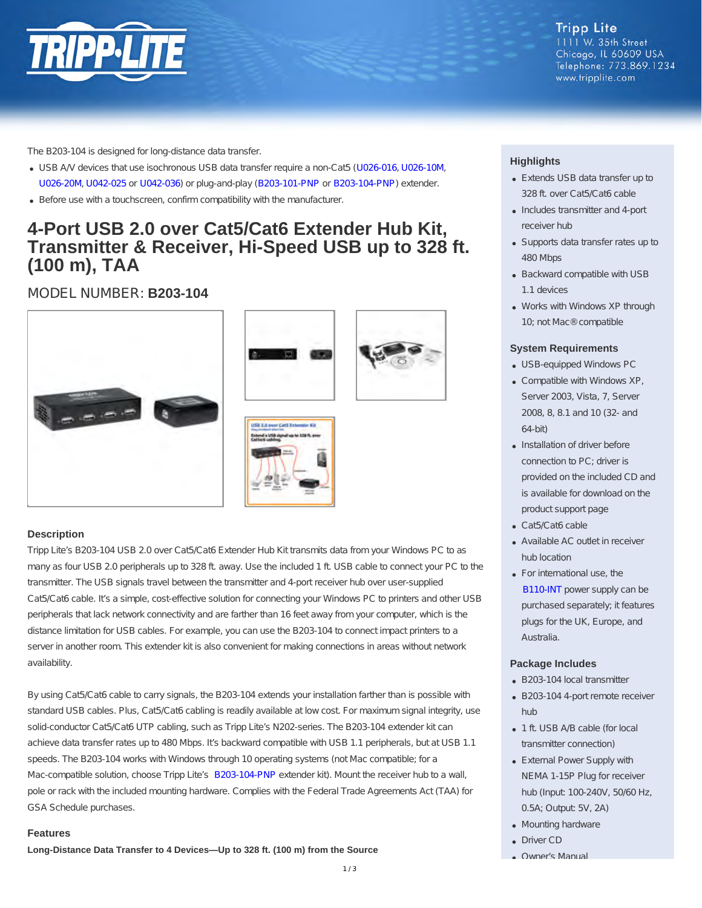

www.tripplite.com

The B203-104 is designed for long-distance data transfer.

- USB A/V devices that use isochronous USB data transfer require a non-Cat5 ([U026-016](http://www.tripplite.com/USB-2.0-Hi-Speed-Active-Extension-Cable-A-M-F-16-ft~U026-016), [U026-10M](http://www.tripplite.com/USB-2.0-High-Speed-Active-Extension-Repeater-Cable-A-Male-Female-10M-33-ft~U026-10M), [U026-20M](http://www.tripplite.com/USB-2.0-High-Speed-Active-Extension-Repeater-Cable-A-Male-Female-20M-65-ft~U026-20M), [U042-025](http://www.tripplite.com/USB-2.0-High-Speed-A-B-Active-Repeater-Cable-Male-25-ft~U042-025) or [U042-036](http://www.tripplite.com/USB-2.0-High-Speed-A-B-Active-Repeater-Cable-Male-36-ft~U042-036)) or plug-and-play ([B203-101-PNP](http://www.tripplite.com/USB-2.0-Cat5-Cat6-Extender-Transmitter-Receiver-164-Feet-1-Port~B203-101-PNP) or [B203-104-PNP](http://www.tripplite.com/USB-2.0-Cat5-Cat6-Extender-Transmitter-Receiver-164-Feet-4-Port~B203-104-PNP)) extender.
- Before use with a touchscreen, confirm compatibility with the manufacturer.

## **4-Port USB 2.0 over Cat5/Cat6 Extender Hub Kit, Transmitter & Receiver, Hi-Speed USB up to 328 ft. (100 m), TAA**

MODEL NUMBER: **B203-104**









### **Description**

Tripp Lite's B203-104 USB 2.0 over Cat5/Cat6 Extender Hub Kit transmits data from your Windows PC to as many as four USB 2.0 peripherals up to 328 ft. away. Use the included 1 ft. USB cable to connect your PC to the transmitter. The USB signals travel between the transmitter and 4-port receiver hub over user-supplied Cat5/Cat6 cable. It's a simple, cost-effective solution for connecting your Windows PC to printers and other USB peripherals that lack network connectivity and are farther than 16 feet away from your computer, which is the distance limitation for USB cables. For example, you can use the B203-104 to connect impact printers to a server in another room. This extender kit is also convenient for making connections in areas without network availability.

By using Cat5/Cat6 cable to carry signals, the B203-104 extends your installation farther than is possible with standard USB cables. Plus, Cat5/Cat6 cabling is readily available at low cost. For maximum signal integrity, use solid-conductor Cat5/Cat6 UTP cabling, such as Tripp Lite's N202-series. The B203-104 extender kit can achieve data transfer rates up to 480 Mbps. It's backward compatible with USB 1.1 peripherals, but at USB 1.1 speeds. The B203-104 works with Windows through 10 operating systems (not Mac compatible; for a Mac-compatible solution, choose Tripp Lite's [B203-104-PNP](http://www.tripplite.com/USB-2.0-Cat5-Cat6-Extender-Transmitter-Receiver-164-Feet-4-Port~B203-104-PNP) extender kit). Mount the receiver hub to a wall, pole or rack with the included mounting hardware. Complies with the Federal Trade Agreements Act (TAA) for GSA Schedule purchases.

#### **Features**

**Long-Distance Data Transfer to 4 Devices—Up to 328 ft. (100 m) from the Source**

## **Highlights**

- Extends USB data transfer up to 328 ft. over Cat5/Cat6 cable
- Includes transmitter and 4-port receiver hub
- Supports data transfer rates up to 480 Mbps
- Backward compatible with USB 1.1 devices
- Works with Windows XP through 10; not Mac® compatible

#### **System Requirements**

- USB-equipped Windows PC
- Compatible with Windows XP, Server 2003, Vista, 7, Server 2008, 8, 8.1 and 10 (32- and 64-bit)
- Installation of driver before connection to PC; driver is provided on the included CD and is available for download on the product support page
- Cat5/Cat6 cable
- Available AC outlet in receiver hub location
- For international use, the [B110-INT](http://www.tripplite.com/International-AC-Adapter-for-Video-over-Cat5-Extenders-100-240V-50-60Hz~B110-INT) power supply can be purchased separately; it features plugs for the UK, Europe, and Australia.

#### **Package Includes**

- B203-104 local transmitter
- B203-104 4-port remote receiver hub
- 1 ft. USB A/B cable (for local transmitter connection)
- External Power Supply with NEMA 1-15P Plug for receiver hub (Input: 100-240V, 50/60 Hz, 0.5A; Output: 5V, 2A)
- Mounting hardware
- Driver CD
- Owner's Manual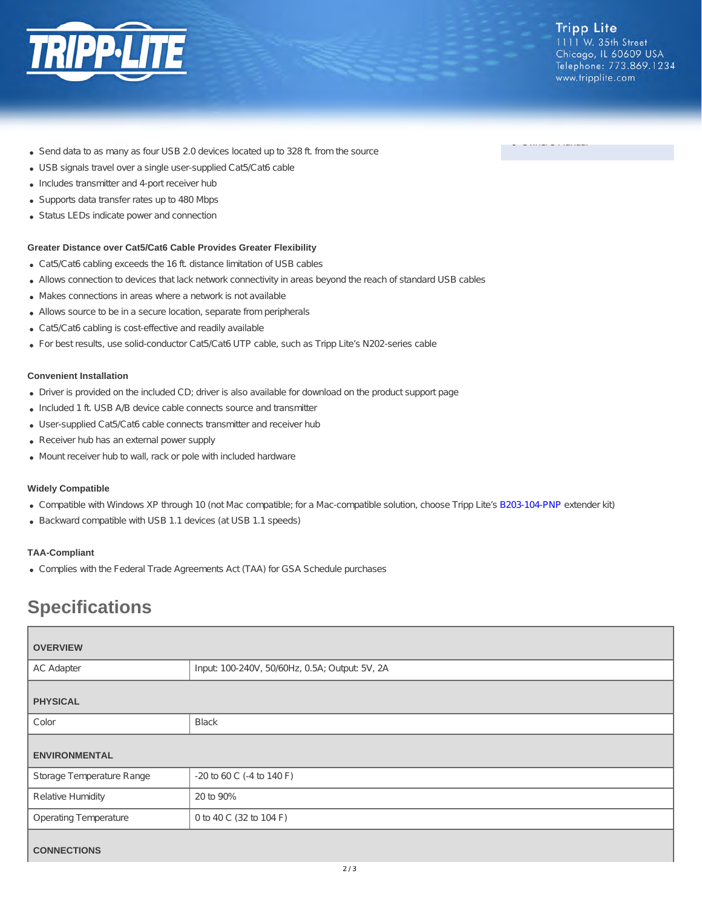

Owner's Manual

- Send data to as many as four USB 2.0 devices located up to 328 ft. from the source
- USB signals travel over a single user-supplied Cat5/Cat6 cable
- Includes transmitter and 4-port receiver hub
- Supports data transfer rates up to 480 Mbps
- Status LEDs indicate power and connection

#### **Greater Distance over Cat5/Cat6 Cable Provides Greater Flexibility**

- Cat5/Cat6 cabling exceeds the 16 ft. distance limitation of USB cables
- Allows connection to devices that lack network connectivity in areas beyond the reach of standard USB cables
- Makes connections in areas where a network is not available
- Allows source to be in a secure location, separate from peripherals
- Cat5/Cat6 cabling is cost-effective and readily available
- For best results, use solid-conductor Cat5/Cat6 UTP cable, such as Tripp Lite's N202-series cable

#### **Convenient Installation**

- Driver is provided on the included CD; driver is also available for download on the product support page
- Included 1 ft. USB A/B device cable connects source and transmitter
- User-supplied Cat5/Cat6 cable connects transmitter and receiver hub
- Receiver hub has an external power supply
- Mount receiver hub to wall, rack or pole with included hardware

#### **Widely Compatible**

- Compatible with Windows XP through 10 (not Mac compatible; for a Mac-compatible solution, choose Tripp Lite's [B203-104-PNP](http://www.tripplite.com/USB-2.0-Cat5-Cat6-Extender-Transmitter-Receiver-164-Feet-4-Port~B203-104-PNP) extender kit)
- Backward compatible with USB 1.1 devices (at USB 1.1 speeds)

#### **TAA-Compliant**

Complies with the Federal Trade Agreements Act (TAA) for GSA Schedule purchases

# **Specifications**

| <b>OVERVIEW</b>              |                                                |
|------------------------------|------------------------------------------------|
| <b>AC Adapter</b>            | Input: 100-240V, 50/60Hz, 0.5A; Output: 5V, 2A |
| <b>PHYSICAL</b>              |                                                |
| Color                        | <b>Black</b>                                   |
| <b>ENVIRONMENTAL</b>         |                                                |
| Storage Temperature Range    | -20 to 60 C (-4 to 140 F)                      |
| <b>Relative Humidity</b>     | 20 to 90%                                      |
| <b>Operating Temperature</b> | 0 to 40 C (32 to 104 F)                        |
| <b>CONNECTIONS</b>           |                                                |